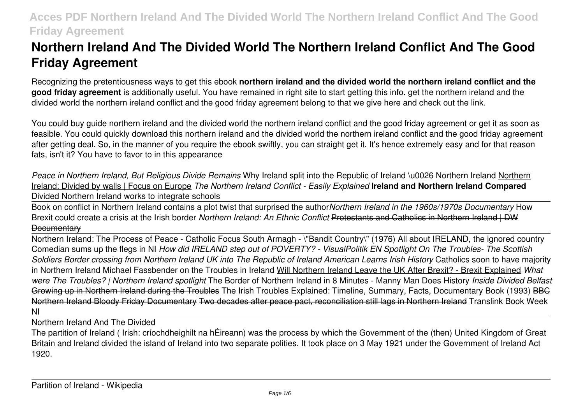# **Northern Ireland And The Divided World The Northern Ireland Conflict And The Good Friday Agreement**

Recognizing the pretentiousness ways to get this ebook **northern ireland and the divided world the northern ireland conflict and the good friday agreement** is additionally useful. You have remained in right site to start getting this info. get the northern ireland and the divided world the northern ireland conflict and the good friday agreement belong to that we give here and check out the link.

You could buy guide northern ireland and the divided world the northern ireland conflict and the good friday agreement or get it as soon as feasible. You could quickly download this northern ireland and the divided world the northern ireland conflict and the good friday agreement after getting deal. So, in the manner of you require the ebook swiftly, you can straight get it. It's hence extremely easy and for that reason fats, isn't it? You have to favor to in this appearance

*Peace in Northern Ireland, But Religious Divide Remains* Why Ireland split into the Republic of Ireland \u0026 Northern Ireland Northern Ireland: Divided by walls | Focus on Europe *The Northern Ireland Conflict - Easily Explained* **Ireland and Northern Ireland Compared** Divided Northern Ireland works to integrate schools

Book on conflict in Northern Ireland contains a plot twist that surprised the author*Northern Ireland in the 1960s/1970s Documentary* How Brexit could create a crisis at the Irish border *Northern Ireland: An Ethnic Conflict* Protestants and Catholics in Northern Ireland | DW **Documentary** 

Northern Ireland: The Process of Peace - Catholic Focus South Armagh - \"Bandit Country\" (1976) All about IRELAND, the ignored country Comedian sums up the flegs in NI *How did IRELAND step out of POVERTY? - VisualPolitik EN Spotlight On The Troubles- The Scottish Soldiers Border crossing from Northern Ireland UK into The Republic of Ireland American Learns Irish History* Catholics soon to have majority in Northern Ireland Michael Fassbender on the Troubles in Ireland Will Northern Ireland Leave the UK After Brexit? - Brexit Explained *What were The Troubles? | Northern Ireland spotlight* The Border of Northern Ireland in 8 Minutes - Manny Man Does History *Inside Divided Belfast* Growing up in Northern Ireland during the Troubles The Irish Troubles Explained: Timeline, Summary, Facts, Documentary Book (1993) BBC Northern Ireland Bloody Friday Documentary Two decades after peace pact, reconciliation still lags in Northern Ireland Translink Book Week NI

Northern Ireland And The Divided

The partition of Ireland ( Irish: críochdheighilt na hÉireann) was the process by which the Government of the (then) United Kingdom of Great Britain and Ireland divided the island of Ireland into two separate polities. It took place on 3 May 1921 under the Government of Ireland Act 1920.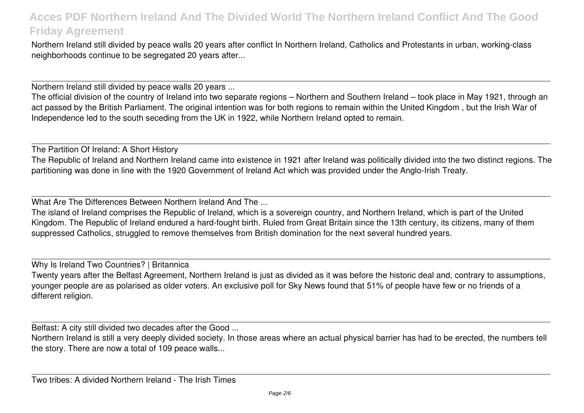Northern Ireland still divided by peace walls 20 years after conflict In Northern Ireland, Catholics and Protestants in urban, working-class neighborhoods continue to be segregated 20 years after...

Northern Ireland still divided by peace walls 20 years ...

The official division of the country of Ireland into two separate regions – Northern and Southern Ireland – took place in May 1921, through an act passed by the British Parliament. The original intention was for both regions to remain within the United Kingdom , but the Irish War of Independence led to the south seceding from the UK in 1922, while Northern Ireland opted to remain.

The Partition Of Ireland: A Short History

The Republic of Ireland and Northern Ireland came into existence in 1921 after Ireland was politically divided into the two distinct regions. The partitioning was done in line with the 1920 Government of Ireland Act which was provided under the Anglo-Irish Treaty.

What Are The Differences Between Northern Ireland And The ...

The island of Ireland comprises the Republic of Ireland, which is a sovereign country, and Northern Ireland, which is part of the United Kingdom. The Republic of Ireland endured a hard-fought birth. Ruled from Great Britain since the 13th century, its citizens, many of them suppressed Catholics, struggled to remove themselves from British domination for the next several hundred years.

Why Is Ireland Two Countries? | Britannica

Twenty years after the Belfast Agreement, Northern Ireland is just as divided as it was before the historic deal and, contrary to assumptions, younger people are as polarised as older voters. An exclusive poll for Sky News found that 51% of people have few or no friends of a different religion.

Belfast: A city still divided two decades after the Good ...

Northern Ireland is still a very deeply divided society. In those areas where an actual physical barrier has had to be erected, the numbers tell the story. There are now a total of 109 peace walls...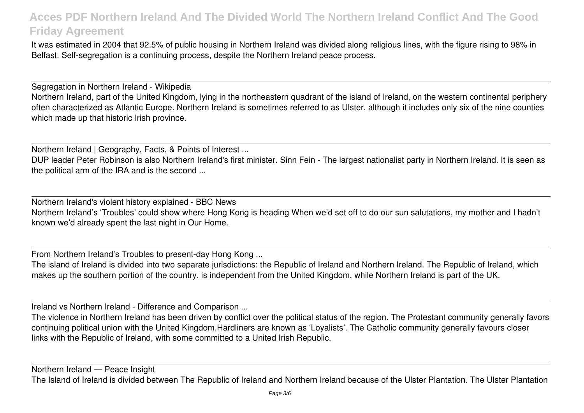It was estimated in 2004 that 92.5% of public housing in Northern Ireland was divided along religious lines, with the figure rising to 98% in Belfast. Self-segregation is a continuing process, despite the Northern Ireland peace process.

Segregation in Northern Ireland - Wikipedia Northern Ireland, part of the United Kingdom, lying in the northeastern quadrant of the island of Ireland, on the western continental periphery often characterized as Atlantic Europe. Northern Ireland is sometimes referred to as Ulster, although it includes only six of the nine counties which made up that historic Irish province.

Northern Ireland | Geography, Facts, & Points of Interest ...

DUP leader Peter Robinson is also Northern Ireland's first minister. Sinn Fein - The largest nationalist party in Northern Ireland. It is seen as the political arm of the IRA and is the second ...

Northern Ireland's violent history explained - BBC News Northern Ireland's 'Troubles' could show where Hong Kong is heading When we'd set off to do our sun salutations, my mother and I hadn't known we'd already spent the last night in Our Home.

From Northern Ireland's Troubles to present-day Hong Kong ...

The island of Ireland is divided into two separate jurisdictions: the Republic of Ireland and Northern Ireland. The Republic of Ireland, which makes up the southern portion of the country, is independent from the United Kingdom, while Northern Ireland is part of the UK.

Ireland vs Northern Ireland - Difference and Comparison ...

The violence in Northern Ireland has been driven by conflict over the political status of the region. The Protestant community generally favors continuing political union with the United Kingdom.Hardliners are known as 'Loyalists'. The Catholic community generally favours closer links with the Republic of Ireland, with some committed to a United Irish Republic.

Northern Ireland — Peace Insight

The Island of Ireland is divided between The Republic of Ireland and Northern Ireland because of the Ulster Plantation. The Ulster Plantation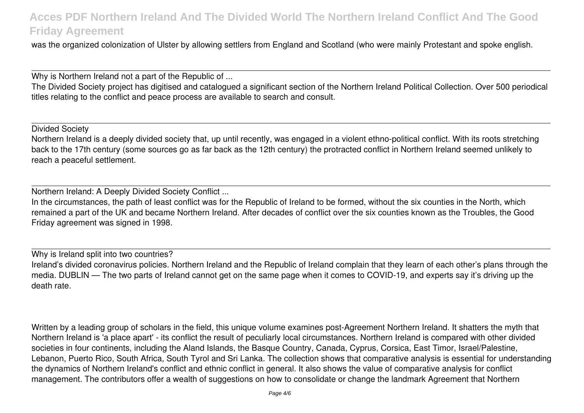was the organized colonization of Ulster by allowing settlers from England and Scotland (who were mainly Protestant and spoke english.

Why is Northern Ireland not a part of the Republic of ...

The Divided Society project has digitised and catalogued a significant section of the Northern Ireland Political Collection. Over 500 periodical titles relating to the conflict and peace process are available to search and consult.

Divided Society

Northern Ireland is a deeply divided society that, up until recently, was engaged in a violent ethno-political conflict. With its roots stretching back to the 17th century (some sources go as far back as the 12th century) the protracted conflict in Northern Ireland seemed unlikely to reach a peaceful settlement.

Northern Ireland: A Deeply Divided Society Conflict ...

In the circumstances, the path of least conflict was for the Republic of Ireland to be formed, without the six counties in the North, which remained a part of the UK and became Northern Ireland. After decades of conflict over the six counties known as the Troubles, the Good Friday agreement was signed in 1998.

Why is Ireland split into two countries? Ireland's divided coronavirus policies. Northern Ireland and the Republic of Ireland complain that they learn of each other's plans through the media. DUBLIN — The two parts of Ireland cannot get on the same page when it comes to COVID-19, and experts say it's driving up the death rate.

Written by a leading group of scholars in the field, this unique volume examines post-Agreement Northern Ireland. It shatters the myth that Northern Ireland is 'a place apart' - its conflict the result of peculiarly local circumstances. Northern Ireland is compared with other divided societies in four continents, including the Aland Islands, the Basque Country, Canada, Cyprus, Corsica, East Timor, Israel/Palestine, Lebanon, Puerto Rico, South Africa, South Tyrol and Sri Lanka. The collection shows that comparative analysis is essential for understanding the dynamics of Northern Ireland's conflict and ethnic conflict in general. It also shows the value of comparative analysis for conflict management. The contributors offer a wealth of suggestions on how to consolidate or change the landmark Agreement that Northern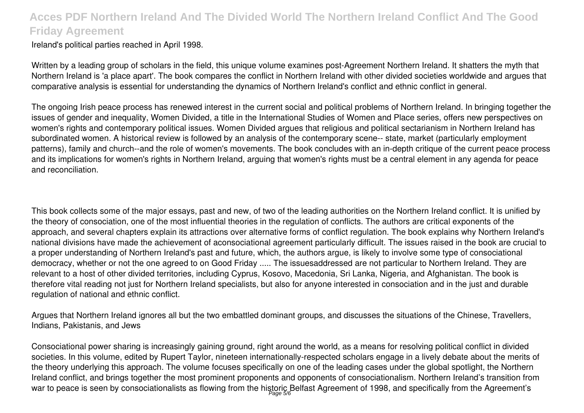Ireland's political parties reached in April 1998.

Written by a leading group of scholars in the field, this unique volume examines post-Agreement Northern Ireland. It shatters the myth that Northern Ireland is 'a place apart'. The book compares the conflict in Northern Ireland with other divided societies worldwide and argues that comparative analysis is essential for understanding the dynamics of Northern Ireland's conflict and ethnic conflict in general.

The ongoing Irish peace process has renewed interest in the current social and political problems of Northern Ireland. In bringing together the issues of gender and inequality, Women Divided, a title in the International Studies of Women and Place series, offers new perspectives on women's rights and contemporary political issues. Women Divided argues that religious and political sectarianism in Northern Ireland has subordinated women. A historical review is followed by an analysis of the contemporary scene-- state, market (particularly employment patterns), family and church--and the role of women's movements. The book concludes with an in-depth critique of the current peace process and its implications for women's rights in Northern Ireland, arguing that women's rights must be a central element in any agenda for peace and reconciliation.

This book collects some of the major essays, past and new, of two of the leading authorities on the Northern Ireland conflict. It is unified by the theory of consociation, one of the most influential theories in the regulation of conflicts. The authors are critical exponents of the approach, and several chapters explain its attractions over alternative forms of conflict regulation. The book explains why Northern Ireland's national divisions have made the achievement of aconsociational agreement particularly difficult. The issues raised in the book are crucial to a proper understanding of Northern Ireland's past and future, which, the authors argue, is likely to involve some type of consociational democracy, whether or not the one agreed to on Good Friday ..... The issuesaddressed are not particular to Northern Ireland. They are relevant to a host of other divided territories, including Cyprus, Kosovo, Macedonia, Sri Lanka, Nigeria, and Afghanistan. The book is therefore vital reading not just for Northern Ireland specialists, but also for anyone interested in consociation and in the just and durable regulation of national and ethnic conflict.

Argues that Northern Ireland ignores all but the two embattled dominant groups, and discusses the situations of the Chinese, Travellers, Indians, Pakistanis, and Jews

Consociational power sharing is increasingly gaining ground, right around the world, as a means for resolving political conflict in divided societies. In this volume, edited by Rupert Taylor, nineteen internationally-respected scholars engage in a lively debate about the merits of the theory underlying this approach. The volume focuses specifically on one of the leading cases under the global spotlight, the Northern Ireland conflict, and brings together the most prominent proponents and opponents of consociationalism. Northern Ireland's transition from war to peace is seen by consociationalists as flowing from the historic Belfast Agreement of 1998, and specifically from the Agreement's